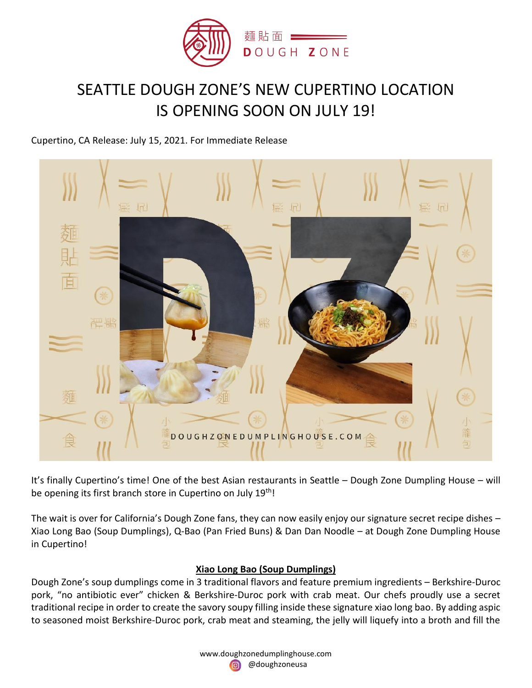

## SEATTLE DOUGH ZONE'S NEW CUPERTINO LOCATION IS OPENING SOON ON JULY 19!

## Cupertino, CA Release: July 15, 2021. For Immediate Release



It's finally Cupertino's time! One of the best Asian restaurants in Seattle – Dough Zone Dumpling House – will be opening its first branch store in Cupertino on July 19th!

The wait is over for California's Dough Zone fans, they can now easily enjoy our signature secret recipe dishes – Xiao Long Bao (Soup Dumplings), Q-Bao (Pan Fried Buns) & Dan Dan Noodle – at Dough Zone Dumpling House in Cupertino!

## **Xiao Long Bao (Soup Dumplings)**

Dough Zone's soup dumplings come in 3 traditional flavors and feature premium ingredients – Berkshire-Duroc pork, "no antibiotic ever" chicken & Berkshire-Duroc pork with crab meat. Our chefs proudly use a secret traditional recipe in order to create the savory soupy filling inside these signature xiao long bao. By adding aspic to seasoned moist Berkshire-Duroc pork, crab meat and steaming, the jelly will liquefy into a broth and fill the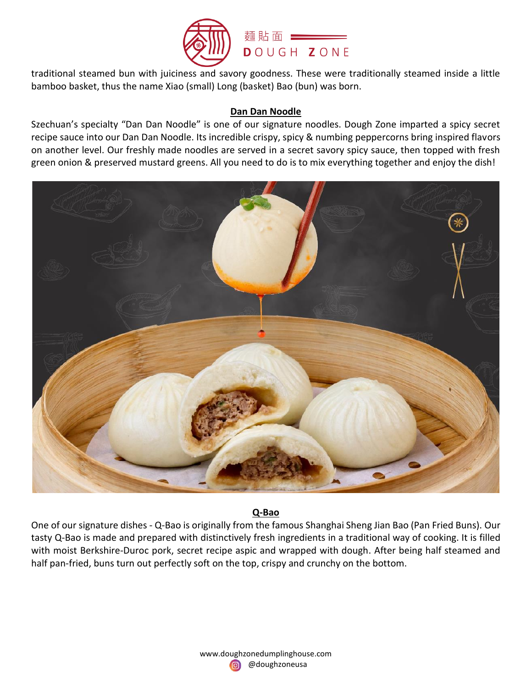

traditional steamed bun with juiciness and savory goodness. These were traditionally steamed inside a little bamboo basket, thus the name Xiao (small) Long (basket) Bao (bun) was born.

## **Dan Dan Noodle**

Szechuan's specialty "Dan Dan Noodle" is one of our signature noodles. Dough Zone imparted a spicy secret recipe sauce into our Dan Dan Noodle. Its incredible crispy, spicy & numbing peppercorns bring inspired flavors on another level. Our freshly made noodles are served in a secret savory spicy sauce, then topped with fresh green onion & preserved mustard greens. All you need to do is to mix everything together and enjoy the dish!



## **Q-Bao**

One of our signature dishes - Q-Bao is originally from the famous Shanghai Sheng Jian Bao (Pan Fried Buns). Our tasty Q-Bao is made and prepared with distinctively fresh ingredients in a traditional way of cooking. It is filled with moist Berkshire-Duroc pork, secret recipe aspic and wrapped with dough. After being half steamed and half pan-fried, buns turn out perfectly soft on the top, crispy and crunchy on the bottom.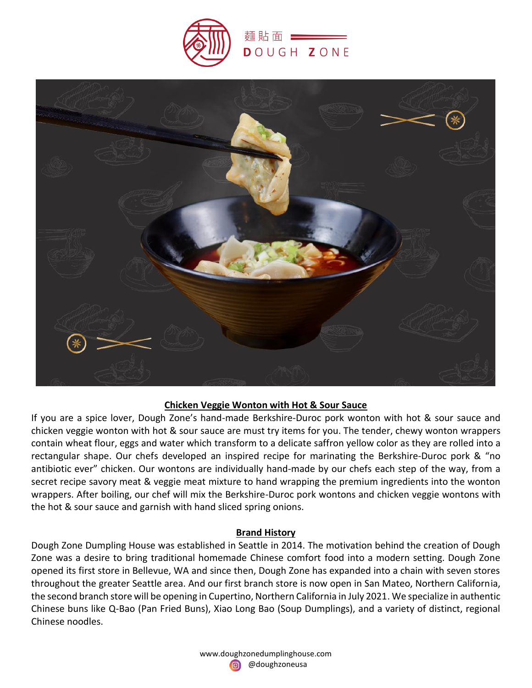



## **Chicken Veggie Wonton with Hot & Sour Sauce**

If you are a spice lover, Dough Zone's hand-made Berkshire-Duroc pork wonton with hot & sour sauce and chicken veggie wonton with hot & sour sauce are must try items for you. The tender, chewy wonton wrappers contain wheat flour, eggs and water which transform to a delicate saffron yellow color as they are rolled into a rectangular shape. Our chefs developed an inspired recipe for marinating the Berkshire-Duroc pork & "no antibiotic ever" chicken. Our wontons are individually hand-made by our chefs each step of the way, from a secret recipe savory meat & veggie meat mixture to hand wrapping the premium ingredients into the wonton wrappers. After boiling, our chef will mix the Berkshire-Duroc pork wontons and chicken veggie wontons with the hot & sour sauce and garnish with hand sliced spring onions.

## **Brand History**

Dough Zone Dumpling House was established in Seattle in 2014. The motivation behind the creation of Dough Zone was a desire to bring traditional homemade Chinese comfort food into a modern setting. Dough Zone opened its first store in Bellevue, WA and since then, Dough Zone has expanded into a chain with seven stores throughout the greater Seattle area. And our first branch store is now open in San Mateo, Northern California, the second branch store will be opening in Cupertino, Northern California in July 2021. We specialize in authentic Chinese buns like Q-Bao (Pan Fried Buns), Xiao Long Bao (Soup Dumplings), and a variety of distinct, regional Chinese noodles.